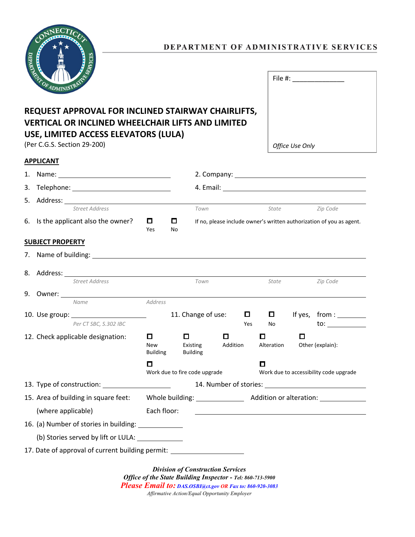

## DEPARTMENT OF ADMINISTRATIVE SERVICES

| <b>EVIOF ADMIN</b><br>TIGTRATIST                         | File #:         |
|----------------------------------------------------------|-----------------|
| REQUEST APPROVAL FOR INCLINED STAIRWAY CHAIRLIFTS,       |                 |
| <b>VERTICAL OR INCLINED WHEELCHAIR LIFTS AND LIMITED</b> |                 |
| USE, LIMITED ACCESS ELEVATORS (LULA)                     |                 |
| (Per C.G.S. Section 29-200)                              | Office Use Only |

## (Per C.G.S. Section 29-200)

**APPLICANT**

| 1.                                                                               |                                                                                                                                                                                                                                |                                    |         |                                  |                                                                      |                                             |                                                                                                                                                                                                                               |
|----------------------------------------------------------------------------------|--------------------------------------------------------------------------------------------------------------------------------------------------------------------------------------------------------------------------------|------------------------------------|---------|----------------------------------|----------------------------------------------------------------------|---------------------------------------------|-------------------------------------------------------------------------------------------------------------------------------------------------------------------------------------------------------------------------------|
| 3.                                                                               |                                                                                                                                                                                                                                |                                    |         |                                  |                                                                      |                                             |                                                                                                                                                                                                                               |
| 5.                                                                               |                                                                                                                                                                                                                                |                                    |         |                                  |                                                                      |                                             |                                                                                                                                                                                                                               |
|                                                                                  | <b>Street Address</b>                                                                                                                                                                                                          |                                    |         | Town                             |                                                                      | State                                       | Zip Code                                                                                                                                                                                                                      |
|                                                                                  | 6. Is the applicant also the owner?                                                                                                                                                                                            | 0.<br>Yes                          | o<br>No |                                  | If no, please include owner's written authorization of you as agent. |                                             |                                                                                                                                                                                                                               |
|                                                                                  | <b>SUBJECT PROPERTY</b>                                                                                                                                                                                                        |                                    |         |                                  |                                                                      |                                             |                                                                                                                                                                                                                               |
|                                                                                  | 7. Name of building: example and a series of the series of the series of the series of the series of the series of the series of the series of the series of the series of the series of the series of the series of the serie |                                    |         |                                  |                                                                      |                                             |                                                                                                                                                                                                                               |
|                                                                                  |                                                                                                                                                                                                                                |                                    |         |                                  |                                                                      |                                             |                                                                                                                                                                                                                               |
|                                                                                  | Street Address                                                                                                                                                                                                                 |                                    |         | Town                             |                                                                      | State                                       | Zip Code                                                                                                                                                                                                                      |
|                                                                                  |                                                                                                                                                                                                                                |                                    |         |                                  |                                                                      |                                             |                                                                                                                                                                                                                               |
|                                                                                  | Name                                                                                                                                                                                                                           | Address                            |         |                                  |                                                                      |                                             |                                                                                                                                                                                                                               |
|                                                                                  |                                                                                                                                                                                                                                |                                    |         | 11. Change of use:               | $\Box$                                                               | 0                                           | If yes, $from:$                                                                                                                                                                                                               |
|                                                                                  | Per CT SBC, S.302 IBC                                                                                                                                                                                                          |                                    |         |                                  | Yes                                                                  | No                                          |                                                                                                                                                                                                                               |
|                                                                                  | 12. Check applicable designation:                                                                                                                                                                                              | О<br><b>New</b><br><b>Building</b> |         | 0<br>Existing<br><b>Building</b> | O<br>Addition                                                        | $\Box$<br>Alteration                        | 0<br>Other (explain):                                                                                                                                                                                                         |
|                                                                                  |                                                                                                                                                                                                                                | О<br>Work due to fire code upgrade |         |                                  |                                                                      | О<br>Work due to accessibility code upgrade |                                                                                                                                                                                                                               |
|                                                                                  |                                                                                                                                                                                                                                |                                    |         |                                  |                                                                      |                                             |                                                                                                                                                                                                                               |
|                                                                                  | 15. Area of building in square feet:                                                                                                                                                                                           |                                    |         |                                  |                                                                      |                                             |                                                                                                                                                                                                                               |
|                                                                                  | (where applicable)                                                                                                                                                                                                             | Each floor:                        |         |                                  |                                                                      |                                             | the control of the control of the control of the control of the control of the control of the control of the control of the control of the control of the control of the control of the control of the control of the control |
|                                                                                  | 16. (a) Number of stories in building: _______________                                                                                                                                                                         |                                    |         |                                  |                                                                      |                                             |                                                                                                                                                                                                                               |
|                                                                                  | (b) Stories served by lift or LULA: ______________                                                                                                                                                                             |                                    |         |                                  |                                                                      |                                             |                                                                                                                                                                                                                               |
| 17. Date of approval of current building permit: _______________________________ |                                                                                                                                                                                                                                |                                    |         |                                  |                                                                      |                                             |                                                                                                                                                                                                                               |

*Division of Construction Services Office of the State Building Inspector - Tel: 860-713-5900 Please Email to: DAS.OSBI@ct.gov OR Fax to: 860-920-3083 Affirmative Action/Equal Opportunity Employer*